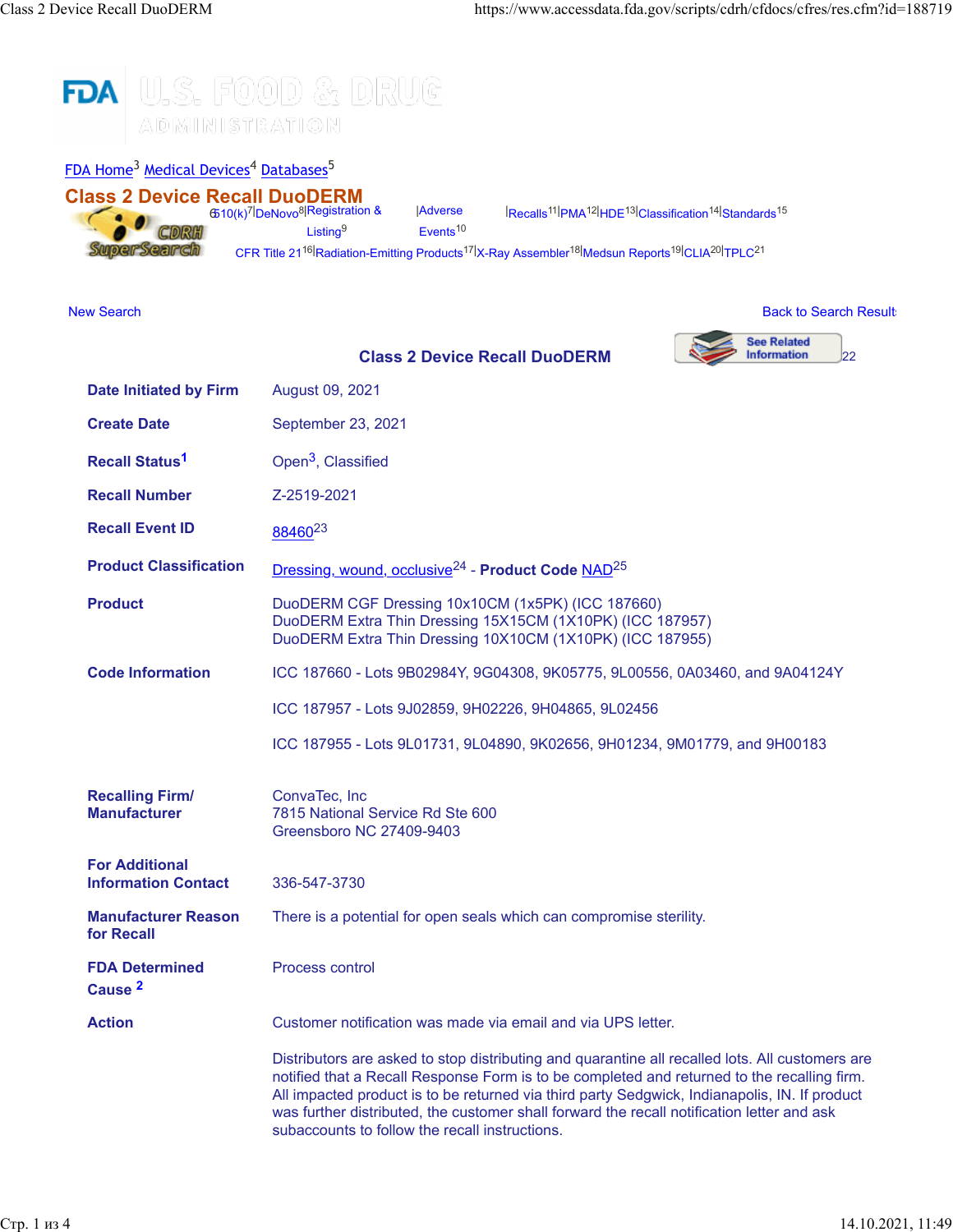

[FDA Home](https://www.fda.gov/)<sup>3</sup> [Medical Devices](http://www.fda.gov/MedicalDevices/default.htm)<sup>4</sup> [Databases](http://www.fda.gov/MedicalDevices/DeviceRegulationandGuidance/Databases/default.htm)<sup>5</sup>

| <b>Class 2 Device Recall DuoDERM</b>                | 6510(k) <sup>7</sup> DeNovo <sup>8</sup> Registration &                       | Adverse              | <sup>14</sup> Recalls <sup>11</sup> PMA <sup>12</sup> HDE <sup>13</sup> Classification <sup>14</sup> Standards <sup>15</sup>                                                |                                                                                                                                                                                                |
|-----------------------------------------------------|-------------------------------------------------------------------------------|----------------------|-----------------------------------------------------------------------------------------------------------------------------------------------------------------------------|------------------------------------------------------------------------------------------------------------------------------------------------------------------------------------------------|
|                                                     | Listing <sup>9</sup>                                                          | Events <sup>10</sup> |                                                                                                                                                                             |                                                                                                                                                                                                |
| SuperSearch                                         |                                                                               |                      | CFR Title 21 <sup>16</sup> Radiation-Emitting Products <sup>17</sup> X-Ray Assembler <sup>18</sup> Medsun Reports <sup>19</sup> CLIA <sup>20</sup> TPLC <sup>21</sup>       |                                                                                                                                                                                                |
|                                                     |                                                                               |                      |                                                                                                                                                                             |                                                                                                                                                                                                |
| <b>New Search</b>                                   |                                                                               |                      |                                                                                                                                                                             | <b>Back to Search Result</b>                                                                                                                                                                   |
|                                                     |                                                                               |                      | <b>Class 2 Device Recall DuoDERM</b>                                                                                                                                        | <b>See Related</b><br><b>Information</b><br>22                                                                                                                                                 |
| <b>Date Initiated by Firm</b>                       | August 09, 2021                                                               |                      |                                                                                                                                                                             |                                                                                                                                                                                                |
| <b>Create Date</b>                                  | September 23, 2021                                                            |                      |                                                                                                                                                                             |                                                                                                                                                                                                |
| <b>Recall Status<sup>1</sup></b>                    | Open <sup>3</sup> , Classified                                                |                      |                                                                                                                                                                             |                                                                                                                                                                                                |
| <b>Recall Number</b>                                | Z-2519-2021                                                                   |                      |                                                                                                                                                                             |                                                                                                                                                                                                |
| <b>Recall Event ID</b>                              | 8846023                                                                       |                      |                                                                                                                                                                             |                                                                                                                                                                                                |
| <b>Product Classification</b>                       |                                                                               |                      | Dressing, wound, occlusive <sup>24</sup> - Product Code NAD <sup>25</sup>                                                                                                   |                                                                                                                                                                                                |
| <b>Product</b>                                      |                                                                               |                      | DuoDERM CGF Dressing 10x10CM (1x5PK) (ICC 187660)<br>DuoDERM Extra Thin Dressing 15X15CM (1X10PK) (ICC 187957)<br>DuoDERM Extra Thin Dressing 10X10CM (1X10PK) (ICC 187955) |                                                                                                                                                                                                |
| <b>Code Information</b>                             | ICC 187660 - Lots 9B02984Y, 9G04308, 9K05775, 9L00556, 0A03460, and 9A04124Y  |                      |                                                                                                                                                                             |                                                                                                                                                                                                |
|                                                     | ICC 187957 - Lots 9J02859, 9H02226, 9H04865, 9L02456                          |                      |                                                                                                                                                                             |                                                                                                                                                                                                |
|                                                     |                                                                               |                      |                                                                                                                                                                             | ICC 187955 - Lots 9L01731, 9L04890, 9K02656, 9H01234, 9M01779, and 9H00183                                                                                                                     |
| <b>Recalling Firm/</b><br><b>Manufacturer</b>       | ConvaTec, Inc<br>7815 National Service Rd Ste 600<br>Greensboro NC 27409-9403 |                      |                                                                                                                                                                             |                                                                                                                                                                                                |
| <b>For Additional</b><br><b>Information Contact</b> | 336-547-3730                                                                  |                      |                                                                                                                                                                             |                                                                                                                                                                                                |
| <b>Manufacturer Reason</b><br>for Recall            | There is a potential for open seals which can compromise sterility.           |                      |                                                                                                                                                                             |                                                                                                                                                                                                |
| <b>FDA Determined</b><br>Cause <sup>2</sup>         | Process control                                                               |                      |                                                                                                                                                                             |                                                                                                                                                                                                |
| <b>Action</b>                                       | Customer notification was made via email and via UPS letter.                  |                      |                                                                                                                                                                             |                                                                                                                                                                                                |
|                                                     |                                                                               |                      |                                                                                                                                                                             | Distributors are asked to stop distributing and quarantine all recalled lots. All customers are<br>notified that a Recall Response Form is to be completed and returned to the recalling firm. |

All impacted product is to be returned via third party Sedgwick, Indianapolis, IN. If product was further distributed, the customer shall forward the recall notification letter and ask

subaccounts to follow the recall instructions.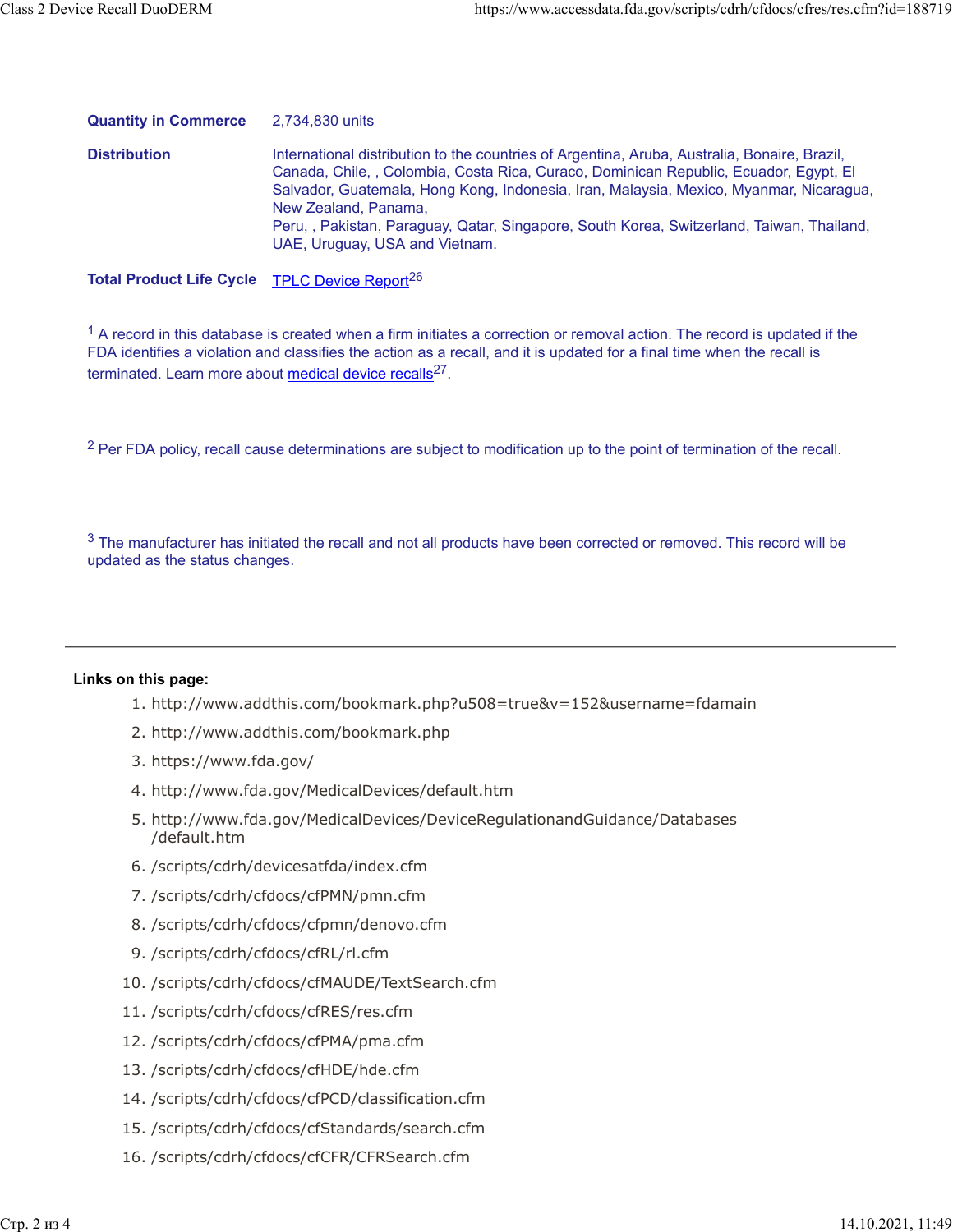| <b>Quantity in Commerce</b> | 2,734,830 units                                                                                                                                                                                                                                                                                                                                                                                                                        |
|-----------------------------|----------------------------------------------------------------------------------------------------------------------------------------------------------------------------------------------------------------------------------------------------------------------------------------------------------------------------------------------------------------------------------------------------------------------------------------|
| <b>Distribution</b>         | International distribution to the countries of Argentina, Aruba, Australia, Bonaire, Brazil,<br>Canada, Chile, , Colombia, Costa Rica, Curaco, Dominican Republic, Ecuador, Egypt, El<br>Salvador, Guatemala, Hong Kong, Indonesia, Iran, Malaysia, Mexico, Myanmar, Nicaragua,<br>New Zealand, Panama,<br>Peru, , Pakistan, Paraguay, Qatar, Singapore, South Korea, Switzerland, Taiwan, Thailand,<br>UAE, Uruguay, USA and Vietnam. |

**Total Product Life Cycle** [TPLC Device Report](https://www.accessdata.fda.gov/scripts/cdrh/cfdocs/cfTPLC/tplc.cfm?id=NAD)<sup>26</sup>

 $1$  A record in this database is created when a firm initiates a correction or removal action. The record is updated if the FDA identifies a violation and classifies the action as a recall, and it is updated for a final time when the recall is terminated. Learn more about [medical device recalls](http://www.fda.gov/MedicalDevices/Safety/ListofRecalls/ucm329946.htm)<sup>27</sup>.

<sup>2</sup> Per FDA policy, recall cause determinations are subject to modification up to the point of termination of the recall.

 $3$  The manufacturer has initiated the recall and not all products have been corrected or removed. This record will be updated as the status changes.

## **Links on this page:**

- 1. http://www.addthis.com/bookmark.php?u508=true&v=152&username=fdamain
- 2. http://www.addthis.com/bookmark.php
- 3. https://www.fda.gov/
- 4. http://www.fda.gov/MedicalDevices/default.htm
- 5. http://www.fda.gov/MedicalDevices/DeviceRegulationandGuidance/Databases /default.htm
- 6. /scripts/cdrh/devicesatfda/index.cfm
- 7. /scripts/cdrh/cfdocs/cfPMN/pmn.cfm
- 8. /scripts/cdrh/cfdocs/cfpmn/denovo.cfm
- 9. /scripts/cdrh/cfdocs/cfRL/rl.cfm
- 10. /scripts/cdrh/cfdocs/cfMAUDE/TextSearch.cfm
- 11. /scripts/cdrh/cfdocs/cfRES/res.cfm
- 12. /scripts/cdrh/cfdocs/cfPMA/pma.cfm
- 13. /scripts/cdrh/cfdocs/cfHDE/hde.cfm
- 14. /scripts/cdrh/cfdocs/cfPCD/classification.cfm
- 15. /scripts/cdrh/cfdocs/cfStandards/search.cfm
- 16. /scripts/cdrh/cfdocs/cfCFR/CFRSearch.cfm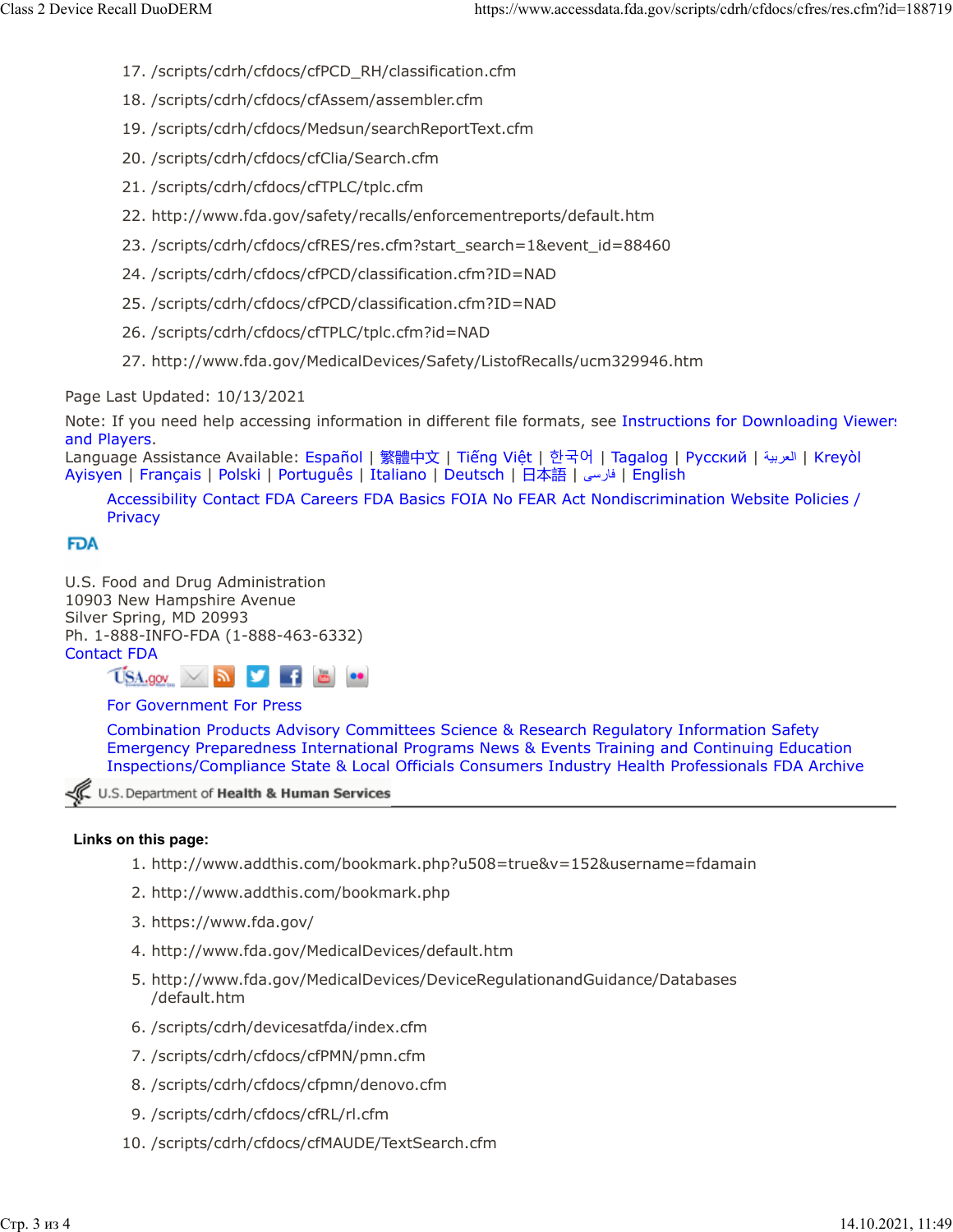- 17. /scripts/cdrh/cfdocs/cfPCD\_RH/classification.cfm
- 18. /scripts/cdrh/cfdocs/cfAssem/assembler.cfm
- 19. /scripts/cdrh/cfdocs/Medsun/searchReportText.cfm
- 20. /scripts/cdrh/cfdocs/cfClia/Search.cfm
- 21. /scripts/cdrh/cfdocs/cfTPLC/tplc.cfm
- 22. http://www.fda.gov/safety/recalls/enforcementreports/default.htm
- 23. /scripts/cdrh/cfdocs/cfRES/res.cfm?start\_search=1&event\_id=88460
- 24. /scripts/cdrh/cfdocs/cfPCD/classification.cfm?ID=NAD
- 25. /scripts/cdrh/cfdocs/cfPCD/classification.cfm?ID=NAD
- 26. /scripts/cdrh/cfdocs/cfTPLC/tplc.cfm?id=NAD
- 27. http://www.fda.gov/MedicalDevices/Safety/ListofRecalls/ucm329946.htm

Page Last Updated: 10/13/2021

Note: If you need help accessing information in different file formats, see [Instructions for Downloading Viewers](https://www.fda.gov/about-fda/website-policies/viewing-files) [and Players.](https://www.fda.gov/about-fda/website-policies/viewing-files)

Language Assistance Available: [Español](https://www.fda.gov/about-fda/about-website/language-assistance-services#spanish) | [繁體中文](https://www.fda.gov/about-fda/about-website/language-assistance-services#chinese) | Tiế[ng Vi](https://www.fda.gov/about-fda/about-website/language-assistance-services#vietnamese)ệt | [한국어](https://www.fda.gov/about-fda/about-website/language-assistance-services#korean) | [Tagalog](https://www.fda.gov/about-fda/about-website/language-assistance-services#tagalog) | [Русский](https://www.fda.gov/about-fda/about-website/language-assistance-services#russian) | [ةيبرعلا](hhttps://www.fda.gov/about-fda/about-website/language-assistance-services#arabic)| [Kreyòl](https://www.fda.gov/about-fda/about-website/language-assistance-services#creole) [Ayisyen](https://www.fda.gov/about-fda/about-website/language-assistance-services#creole) | [Français](https://www.fda.gov/about-fda/about-website/language-assistance-services#french) | [Polski](https://www.fda.gov/about-fda/about-website/language-assistance-services#polish) | [Português](https://www.fda.gov/about-fda/about-website/language-assistance-services#portuguese) | [Italiano](https://www.fda.gov/about-fda/about-website/language-assistance-services#italian) | [Deutsch](https://www.fda.gov/about-fda/about-website/language-assistance-services#german) | [日本語](https://www.fda.gov/about-fda/about-website/language-assistance-services#japanese) | [یسراف](https://www.fda.gov/about-fda/about-website/language-assistance-services#farsi)| [English](https://www.fda.gov/about-fda/about-website/language-assistance-services#english)

[Accessibility](https://www.fda.gov/about-fda/about-website/accessibility) [Contact FDA](https://www.fda.gov/about-fda/contact-fda) [Careers](https://www.fda.gov/about-fda/jobs-and-training-fda) [FDA Basics](https://www.fda.gov/about-fda/transparency/fda-basics) [FOIA](https://www.fda.gov/regulatory-information/freedom-information) [No FEAR Act](https://www.fda.gov/about-fda/jobs-and-training-fda/no-fear-act) [Nondiscrimination](https://www.fda.gov/about-fda/about-website/fda-nondiscrimination-notice) [Website Policies /](https://www.fda.gov/about-fda/about-website/website-policies) **[Privacy](https://www.fda.gov/about-fda/about-website/website-policies)** 

## **FDA**

U.S. Food and Drug Administration 10903 New Hampshire Avenue Silver Spring, MD 20993 Ph. 1-888-INFO-FDA (1-888-463-6332) [Contact FDA](https://www.fda.gov/about-fda/contact-fda)



## [For Government](https://www.fda.gov/federal-state-local-tribal-and-territorial-officials) [For Press](https://www.fda.gov/news-events)

[Combination Products](https://www.fda.gov/combination-products) [Advisory Committees](https://www.fda.gov/advisory-committees) [Science & Research](https://www.fda.gov/Science-Research) [Regulatory Information](https://www.fda.gov/Regulatory-Information) [Safety](https://www.fda.gov/Safety) [Emergency Preparedness](https://www.fda.gov/emergency-preparedness-and-response) [International Programs](https://www.fda.gov/international-programs) [News & Events](https://www.fda.gov/news-events) [Training and Continuing Education](https://www.fda.gov/training-and-continuing-education) [Inspections/Compliance](https://www.fda.gov/inspections-compliance-enforcement-and-criminal-investigations) [State & Local Officials](https://www.fda.gov/federal-state-local-tribal-and-territorial-officials) [Consumers](https://www.fda.gov/consumers) [Industry](https://www.fda.gov/industry) [Health Professionals](https://www.fda.gov/health-professionals) [FDA Archive](https://www.fda.gov/about-fda/about-website/fdagov-archive)

U.S. Department of Health & Human Services

## **Links on this page:**

- 1. http://www.addthis.com/bookmark.php?u508=true&v=152&username=fdamain
- 2. http://www.addthis.com/bookmark.php
- 3. https://www.fda.gov/
- 4. http://www.fda.gov/MedicalDevices/default.htm
- 5. http://www.fda.gov/MedicalDevices/DeviceRegulationandGuidance/Databases /default.htm
- 6. /scripts/cdrh/devicesatfda/index.cfm
- 7. /scripts/cdrh/cfdocs/cfPMN/pmn.cfm
- 8. /scripts/cdrh/cfdocs/cfpmn/denovo.cfm
- 9. /scripts/cdrh/cfdocs/cfRL/rl.cfm
- 10. /scripts/cdrh/cfdocs/cfMAUDE/TextSearch.cfm